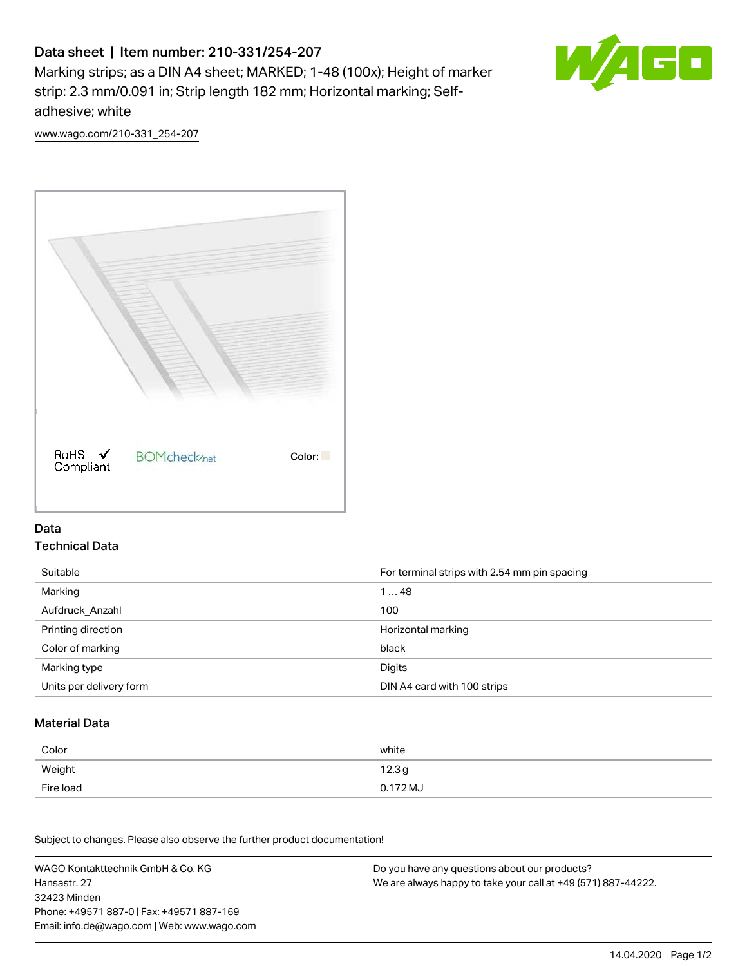# Data sheet | Item number: 210-331/254-207

Marking strips; as a DIN A4 sheet; MARKED; 1-48 (100x); Height of marker strip: 2.3 mm/0.091 in; Strip length 182 mm; Horizontal marking; Selfadhesive; white



[www.wago.com/210-331\\_254-207](http://www.wago.com/210-331_254-207)



#### Data Technical Data

| Suitable                | For terminal strips with 2.54 mm pin spacing |
|-------------------------|----------------------------------------------|
| Marking                 | 148                                          |
| Aufdruck Anzahl         | 100                                          |
| Printing direction      | Horizontal marking                           |
| Color of marking        | black                                        |
| Marking type            | Digits                                       |
| Units per delivery form | DIN A4 card with 100 strips                  |

#### Material Data

| Color     | white             |
|-----------|-------------------|
| Weight    | 12.3 <sub>g</sub> |
| Fire load | 0.172 MJ          |

Subject to changes. Please also observe the further product documentation!

WAGO Kontakttechnik GmbH & Co. KG Hansastr. 27 32423 Minden Phone: +49571 887-0 | Fax: +49571 887-169 Email: info.de@wago.com | Web: www.wago.com Do you have any questions about our products? We are always happy to take your call at +49 (571) 887-44222.